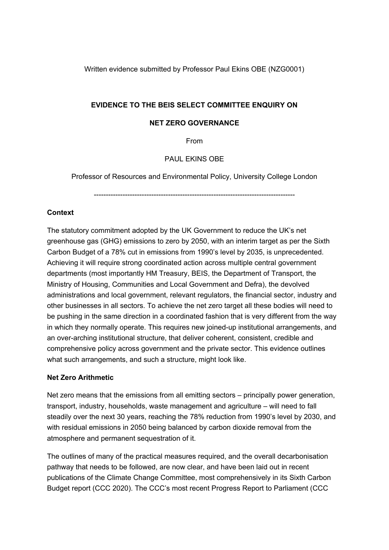Written evidence submitted by Professor Paul Ekins OBE (NZG0001)

# **EVIDENCE TO THE BEIS SELECT COMMITTEE ENQUIRY ON**

## **NET ZERO GOVERNANCE**

From

PAUL EKINS OBE

Professor of Resources and Environmental Policy, University College London

------------------------------------------------------------------------------------

# **Context**

The statutory commitment adopted by the UK Government to reduce the UK's net greenhouse gas (GHG) emissions to zero by 2050, with an interim target as per the Sixth Carbon Budget of a 78% cut in emissions from 1990's level by 2035, is unprecedented. Achieving it will require strong coordinated action across multiple central government departments (most importantly HM Treasury, BEIS, the Department of Transport, the Ministry of Housing, Communities and Local Government and Defra), the devolved administrations and local government, relevant regulators, the financial sector, industry and other businesses in all sectors. To achieve the net zero target all these bodies will need to be pushing in the same direction in a coordinated fashion that is very different from the way in which they normally operate. This requires new joined-up institutional arrangements, and an over-arching institutional structure, that deliver coherent, consistent, credible and comprehensive policy across government and the private sector. This evidence outlines what such arrangements, and such a structure, might look like.

## **Net Zero Arithmetic**

Net zero means that the emissions from all emitting sectors – principally power generation, transport, industry, households, waste management and agriculture – will need to fall steadily over the next 30 years, reaching the 78% reduction from 1990's level by 2030, and with residual emissions in 2050 being balanced by carbon dioxide removal from the atmosphere and permanent sequestration of it.

The outlines of many of the practical measures required, and the overall decarbonisation pathway that needs to be followed, are now clear, and have been laid out in recent publications of the Climate Change Committee, most comprehensively in its Sixth Carbon Budget report (CCC 2020). The CCC's most recent Progress Report to Parliament (CCC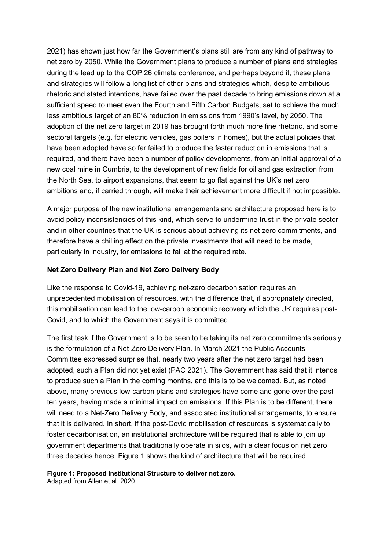2021) has shown just how far the Government's plans still are from any kind of pathway to net zero by 2050. While the Government plans to produce a number of plans and strategies during the lead up to the COP 26 climate conference, and perhaps beyond it, these plans and strategies will follow a long list of other plans and strategies which, despite ambitious rhetoric and stated intentions, have failed over the past decade to bring emissions down at a sufficient speed to meet even the Fourth and Fifth Carbon Budgets, set to achieve the much less ambitious target of an 80% reduction in emissions from 1990's level, by 2050. The adoption of the net zero target in 2019 has brought forth much more fine rhetoric, and some sectoral targets (e.g. for electric vehicles, gas boilers in homes), but the actual policies that have been adopted have so far failed to produce the faster reduction in emissions that is required, and there have been a number of policy developments, from an initial approval of a new coal mine in Cumbria, to the development of new fields for oil and gas extraction from the North Sea, to airport expansions, that seem to go flat against the UK's net zero ambitions and, if carried through, will make their achievement more difficult if not impossible.

A major purpose of the new institutional arrangements and architecture proposed here is to avoid policy inconsistencies of this kind, which serve to undermine trust in the private sector and in other countries that the UK is serious about achieving its net zero commitments, and therefore have a chilling effect on the private investments that will need to be made, particularly in industry, for emissions to fall at the required rate.

## **Net Zero Delivery Plan and Net Zero Delivery Body**

Like the response to Covid-19, achieving net-zero decarbonisation requires an unprecedented mobilisation of resources, with the difference that, if appropriately directed, this mobilisation can lead to the low-carbon economic recovery which the UK requires post-Covid, and to which the Government says it is committed.

The first task if the Government is to be seen to be taking its net zero commitments seriously is the formulation of a Net-Zero Delivery Plan. In March 2021 the Public Accounts Committee expressed surprise that, nearly two years after the net zero target had been adopted, such a Plan did not yet exist (PAC 2021). The Government has said that it intends to produce such a Plan in the coming months, and this is to be welcomed. But, as noted above, many previous low-carbon plans and strategies have come and gone over the past ten years, having made a minimal impact on emissions. If this Plan is to be different, there will need to a Net-Zero Delivery Body, and associated institutional arrangements, to ensure that it is delivered. In short, if the post-Covid mobilisation of resources is systematically to foster decarbonisation, an institutional architecture will be required that is able to join up government departments that traditionally operate in silos, with a clear focus on net zero three decades hence. Figure 1 shows the kind of architecture that will be required.

**Figure 1: Proposed Institutional Structure to deliver net zero.** Adapted from Allen et al. 2020.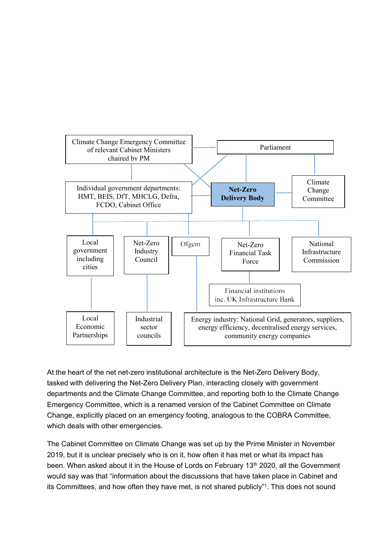

At the heart of the net net-zero institutional architecture is the Net-Zero Delivery Body, tasked with delivering the Net-Zero Delivery Plan, interacting closely with government departments and the Climate Change Committee, and reporting both to the Climate Change Emergency Committee, which is a renamed version of the Cabinet Committee on Climate Change, explicitly placed on an emergency footing, analogous to the COBRA Committee, which deals with other emergencies.

The Cabinet Committee on Climate Change was set up by the Prime Minister in November 2019, but it is unclear precisely who is on it, how often it has met or what its impact has been. When asked about it in the House of Lords on February 13<sup>th</sup> 2020, all the Government would say was that "information about the discussions that have taken place in Cabinet and its Committees, and how often they have met, is not shared publicly"<sup>1</sup> . This does not sound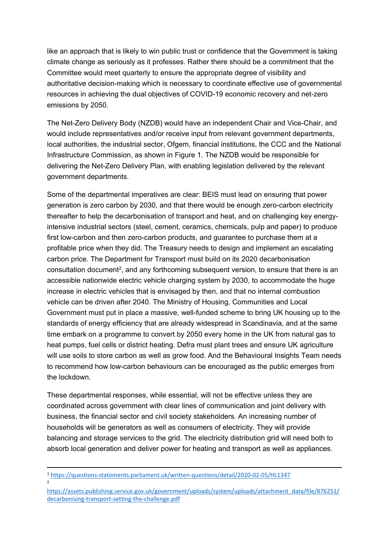like an approach that is likely to win public trust or confidence that the Government is taking climate change as seriously as it professes. Rather there should be a commitment that the Committee would meet quarterly to ensure the appropriate degree of visibility and authoritative decision-making which is necessary to coordinate effective use of governmental resources in achieving the dual objectives of COVID-19 economic recovery and net-zero emissions by 2050.

The Net-Zero Delivery Body (NZDB) would have an independent Chair and Vice-Chair, and would include representatives and/or receive input from relevant government departments, local authorities, the industrial sector, Ofgem, financial institutions, the CCC and the National Infrastructure Commission, as shown in Figure 1. The NZDB would be responsible for delivering the Net-Zero Delivery Plan, with enabling legislation delivered by the relevant government departments.

Some of the departmental imperatives are clear: BEIS must lead on ensuring that power generation is zero carbon by 2030, and that there would be enough zero-carbon electricity thereafter to help the decarbonisation of transport and heat, and on challenging key energyintensive industrial sectors (steel, cement, ceramics, chemicals, pulp and paper) to produce first low-carbon and then zero-carbon products, and guarantee to purchase them at a profitable price when they did. The Treasury needs to design and implement an escalating carbon price. The Department for Transport must build on its 2020 decarbonisation consultation document<sup>2</sup>, and any forthcoming subsequent version, to ensure that there is an accessible nationwide electric vehicle charging system by 2030, to accommodate the huge increase in electric vehicles that is envisaged by then, and that no internal combustion vehicle can be driven after 2040. The Ministry of Housing, Communities and Local Government must put in place a massive, well-funded scheme to bring UK housing up to the standards of energy efficiency that are already widespread in Scandinavia, and at the same time embark on a programme to convert by 2050 every home in the UK from natural gas to heat pumps, fuel cells or district heating. Defra must plant trees and ensure UK agriculture will use soils to store carbon as well as grow food. And the Behavioural Insights Team needs to recommend how low-carbon behaviours can be encouraged as the public emerges from the lockdown.

These departmental responses, while essential, will not be effective unless they are coordinated across government with clear lines of communication and joint delivery with business, the financial sector and civil society stakeholders. An increasing number of households will be generators as well as consumers of electricity. They will provide balancing and storage services to the grid. The electricity distribution grid will need both to absorb local generation and deliver power for heating and transport as well as appliances.

<sup>1</sup> <https://questions-statements.parliament.uk/written-questions/detail/2020-02-05/HL1347>  $\overline{2}$ 

[https://assets.publishing.service.gov.uk/government/uploads/system/uploads/attachment\\_data/file/876251/](https://assets.publishing.service.gov.uk/government/uploads/system/uploads/attachment_data/file/876251/decarbonising-transport-setting-the-challenge.pdf) [decarbonising-transport-setting-the-challenge.pdf](https://assets.publishing.service.gov.uk/government/uploads/system/uploads/attachment_data/file/876251/decarbonising-transport-setting-the-challenge.pdf)